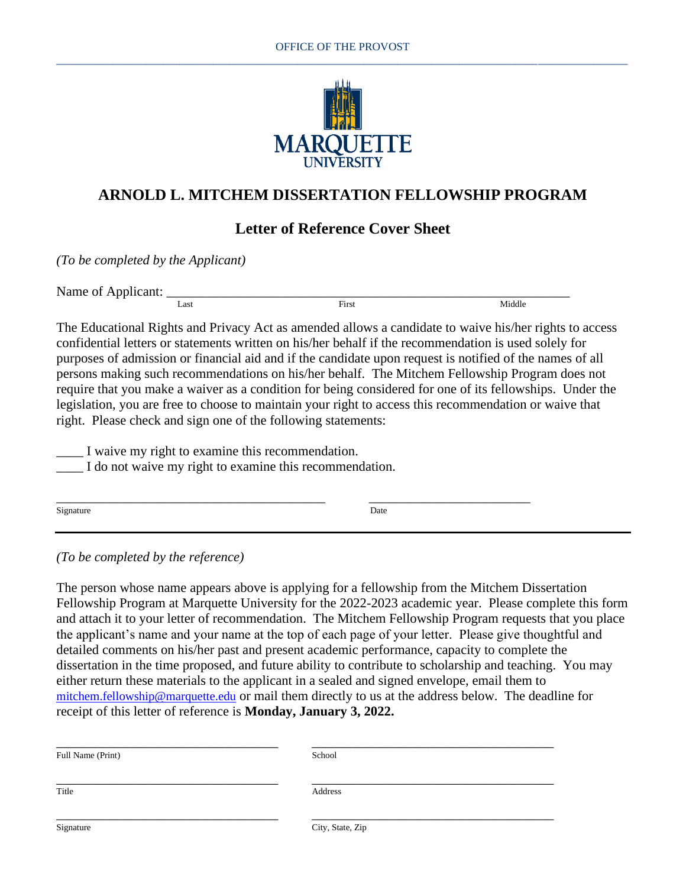

## **ARNOLD L. MITCHEM DISSERTATION FELLOWSHIP PROGRAM**

## **Letter of Reference Cover Sheet**

*(To be completed by the Applicant)*

Name of Applicant:  $\frac{L_{\text{ast}}}{L_{\text{ast}}}$ <u>Last First</u>

The Educational Rights and Privacy Act as amended allows a candidate to waive his/her rights to access confidential letters or statements written on his/her behalf if the recommendation is used solely for purposes of admission or financial aid and if the candidate upon request is notified of the names of all persons making such recommendations on his/her behalf. The Mitchem Fellowship Program does not require that you make a waiver as a condition for being considered for one of its fellowships. Under the legislation, you are free to choose to maintain your right to access this recommendation or waive that right. Please check and sign one of the following statements:

\_\_\_\_ I waive my right to examine this recommendation.

\_\_\_\_ I do not waive my right to examine this recommendation.

| Signature | Date |
|-----------|------|
|           |      |

\_\_\_\_\_\_\_\_\_\_\_\_\_\_\_\_\_\_\_\_\_\_\_\_\_\_\_\_\_\_\_\_\_\_\_\_\_\_\_\_ \_\_\_\_\_\_\_\_\_\_\_\_\_\_\_\_\_\_\_\_\_\_\_\_

*(To be completed by the reference)*

The person whose name appears above is applying for a fellowship from the Mitchem Dissertation Fellowship Program at Marquette University for the 2022-2023 academic year. Please complete this form and attach it to your letter of recommendation. The Mitchem Fellowship Program requests that you place the applicant's name and your name at the top of each page of your letter. Please give thoughtful and detailed comments on his/her past and present academic performance, capacity to complete the dissertation in the time proposed, and future ability to contribute to scholarship and teaching. You may either return these materials to the applicant in a sealed and signed envelope, email them to [mitchem.fellowship@marquette.edu](mailto:mitchem.fellowship@marquette.edu) or mail them directly to us at the address below. The deadline for receipt of this letter of reference is **Monday, January 3, 2022.**

| Full Name (Print) | School           |  |
|-------------------|------------------|--|
|                   |                  |  |
| Title             | Address          |  |
|                   |                  |  |
| Signature         | City, State, Zip |  |